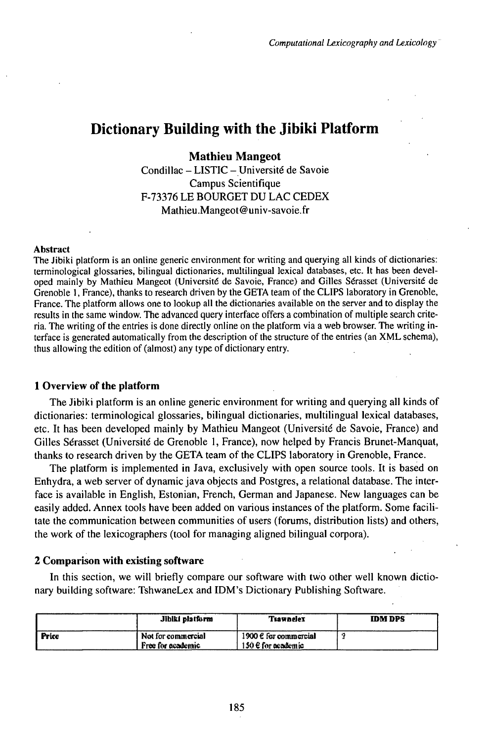# Dictionary Building with the Jibiki Platform

**Mathieu Mangeot** Condillac -LISTIC-Université de Savoie Campus Scientifique F-73376 LE BOURGET DU LAC CEDEX Mathieu.Mangeot@univ-savoie.fr

#### Abstract

The Jibiki platform is an online generic environment for writing and querying all kinds of dictionaries: terminological glossaries, bilingual dictionaries, multilingual lexical databases, etc. It has been developed mainly by Mathieu Mangeot (Université de Savoie, France) and Gilles Sérasset (Université de Grenoble 1, France), thanks to research driven by the GETA team of the CLIPS laboratory in Grenoble, France. The platform allows one to lookup all the dictionaries available on the server and to display the results in the same window. The advanced query interface offers a combination of multiple search criteria. The writing of the entries is done directly online on the platform via a web browser. The writing interface is generated automatically from the description of the structure of the entries (an XML schema), thus allowing the edition of (almost) any type of dictionary entry.

#### **<sup>1</sup> Overview of the platform**

The Jibiki platform is an online generic environment for writing and querying all kinds of dictionaries: terminological glossaries, bilingual dictionaries, multilingual lexical databases, etc. It has been developed mainly by Mathieu Mangeot (Université de Savoie, France) and Gilles Sérasset (Université de Grenoble 1, France), now helped by Francis Brunet-Manquat, thanks to research driven by the GETA team of the CLIPS laboratory in Grenoble, France.

The platform is implemented in Java, exclusively with open source tools. It is based on Enhydra, a web server of dynamic java objects and Postgres, a relational database. The interface is available in English, Estonian, French, German and Japanese. New languages can be easily added. Annex tools have been added on various instances of the platform. Some facilitate the communication between communities of users (forums, distribution lists) and others, the work of the lexicographers (tool for managing aligned bilingual corpora).

#### **2 Comparison with existing software**

In this section, we will briefly compare our software with two other well known dictionary building software: TshwaneLex and IDM's Dictionary Publishing Software.

|              | Jiblki platform                         | <b>Tiawnelex</b>                                 | <b>IDM DPS</b> |
|--------------|-----------------------------------------|--------------------------------------------------|----------------|
| <b>Price</b> | Not for commercial<br>Free for academic | 1900 $\ell$ for commercial<br>150 € for academic |                |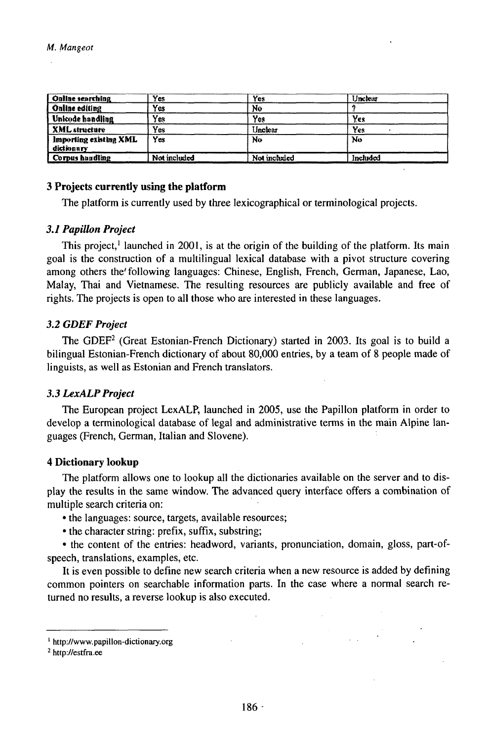| <b>Online searching</b>              | Yes.         | Yes          | Unclear  |  |
|--------------------------------------|--------------|--------------|----------|--|
| Online editing                       | Yes          | No           |          |  |
| Jhkode handling                      | Yes          | Yes          | Yes      |  |
| <b>XML</b> structure                 | Yes          | Unclear      | Yes.     |  |
| Importing existing XML<br>dictionary | Yes          | No           | Νo       |  |
| Corpus handling                      | Not included | Not included | Included |  |

### **3 Projects currently using the platform**

The platform is currently used by three lexicographical or terminological projects.

#### *3.1 Papillon Project*

This project,<sup>1</sup> launched in 2001, is at the origin of the building of the platform. Its main goal is the construction of a multilingual lexical database with a pivot structure covering among others the'following languages: Chinese, English, French, German, Japanese, Lao, Malay, Thai and Vietnamese. The resulting resources are publicly available and free of rights. The projects is open to all those who are interested in these languages.

## *3.2GDEFProject*

The GDEF<sup>2</sup> (Great Estonian-French Dictionary) started in 2003. Its goal is to build a bilingual Estonian-French dictionary of about 80,000 entries, by a team of 8 people made of linguists, as well as Estonian and French translators.

#### 3.3 LexALP Project

The European project LexALP, launched in 2005, use the Papillon platform in order to develop a terminological database of legal and administrative terms in the main Alpine languages French, German, Italian and Slovene).

#### **4 Dictionary lookup**

The platform allows one to lookup all the dictionaries available on the server and to display the results in the same window. The advanced query interface offers a combination of multiple search criteria on:

• the languages: source, targets, available resources;

• the character string: prefix, suffix, substring;

• the content of the entries: headword, variants, pronunciation, domain, gloss, part-ofspeech, translations, examples, etc.

It is even possible to define new search criteria when a new resource is added by defining common pointers on searchable information parts. In the case where a normal search returned no results, a reverse lookup is also executed.

<sup>&#</sup>x27; http://www.papillon-dictionary.org

<sup>&</sup>lt;sup>2</sup> http://estfra.ee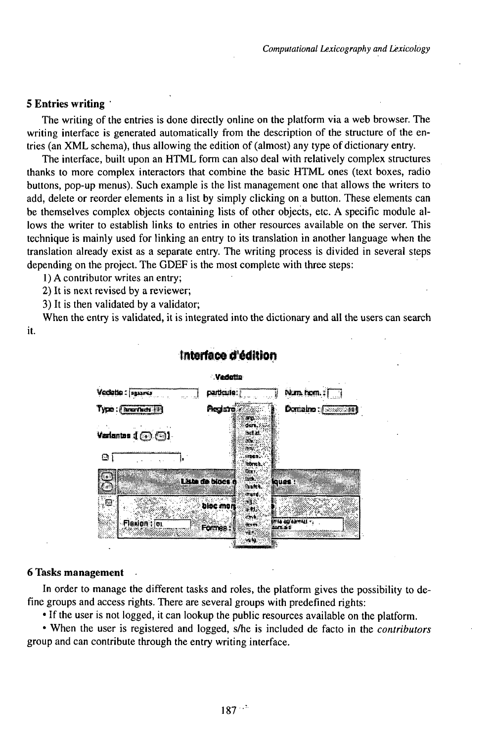#### 5 Entries writing

The writing of the entries is done directly online on the platform via a web browser. The writing interface is generated automatically from the description of the structure of the entries (an XML schema), thus allowing the edition of (almost) any type of dictionary entry.

The interface, built upon an HTML form can also deal with relatively complex structures thanks to more complex interactors that combine the basic HTML ones (text boxes, radio buttons, pop-up menus). Such example is the list management one that allows the writers to add, delete or reorder elements in a list by simply clicking on a button. These elements can be themselves complex objects containing lists of other objects, etc. A specific module allows the writer to establish links to entries in other resources available on the server. This technique is mainly used for linking an entry to its translation in another language when the translation already exist as a separate entry. The writing process is divided in several steps depending on the project. The GDEF is the most complete with three steps:

1) A contributor writes an entry;

2) It is next revised by a reviewer;

3) It is then validated by a validator;

When the entry is validated, it is integrated into the dictionary and all the users can search it.



## Interface d'édition

#### **6 Tasks management**

In order to manage the different tasks and roles, the platform gives the possibility to define groups and access rights. There are several groups with predefined rights:

• If the user is not logged, it can lookup the public resources available on the platform.

• When the user is registered and logged, s/he is included de facto in the *contributors* group and can contribute through the entry writing interface.